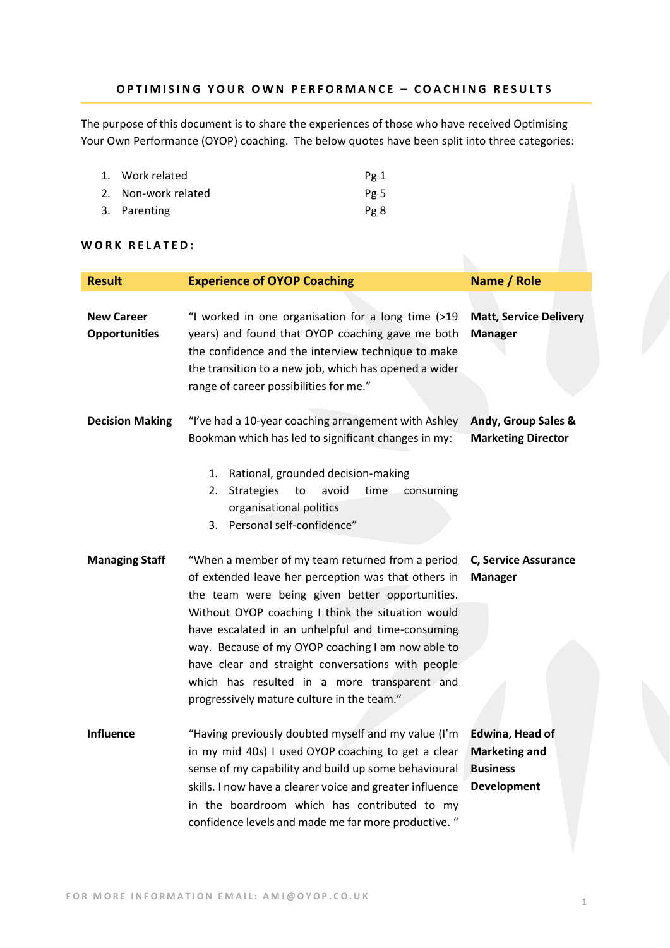## **O P T I M I S I N G Y O U R O W N P E R F O R M A N C E – C O A C H I N G R E S U L T S**

The purpose of this document is to share the experiences of those who have received Optimising Your Own Performance (OYOP) coaching. The below quotes have been split into three categories:

| 1. Work related     | Pg 1 |
|---------------------|------|
| 2. Non-work related | Pg 5 |
| 3. Parenting        | Pg 8 |

### WORK RELATED:

| <b>Result</b>                             | <b>Experience of OYOP Coaching</b>                                                                                                                                                                                                                                                                                                                                                                                                                                           | Name / Role                                                                      |
|-------------------------------------------|------------------------------------------------------------------------------------------------------------------------------------------------------------------------------------------------------------------------------------------------------------------------------------------------------------------------------------------------------------------------------------------------------------------------------------------------------------------------------|----------------------------------------------------------------------------------|
| <b>New Career</b><br><b>Opportunities</b> | "I worked in one organisation for a long time (>19<br>years) and found that OYOP coaching gave me both<br>the confidence and the interview technique to make<br>the transition to a new job, which has opened a wider<br>range of career possibilities for me."                                                                                                                                                                                                              | <b>Matt, Service Delivery</b><br><b>Manager</b>                                  |
| <b>Decision Making</b>                    | "I've had a 10-year coaching arrangement with Ashley<br>Bookman which has led to significant changes in my:<br>Rational, grounded decision-making<br>1.<br>avoid<br>time<br>consuming<br>2.<br><b>Strategies</b><br>to<br>organisational politics<br>3. Personal self-confidence"                                                                                                                                                                                            | Andy, Group Sales &<br><b>Marketing Director</b>                                 |
| <b>Managing Staff</b>                     | "When a member of my team returned from a period<br>of extended leave her perception was that others in<br>the team were being given better opportunities.<br>Without OYOP coaching I think the situation would<br>have escalated in an unhelpful and time-consuming<br>way. Because of my OYOP coaching I am now able to<br>have clear and straight conversations with people<br>which has resulted in a more transparent and<br>progressively mature culture in the team." | C, Service Assurance<br><b>Manager</b>                                           |
| <b>Influence</b>                          | "Having previously doubted myself and my value (I'm<br>in my mid 40s) I used OYOP coaching to get a clear<br>sense of my capability and build up some behavioural<br>skills. I now have a clearer voice and greater influence<br>in the boardroom which has contributed to my<br>confidence levels and made me far more productive. "                                                                                                                                        | Edwina, Head of<br><b>Marketing and</b><br><b>Business</b><br><b>Development</b> |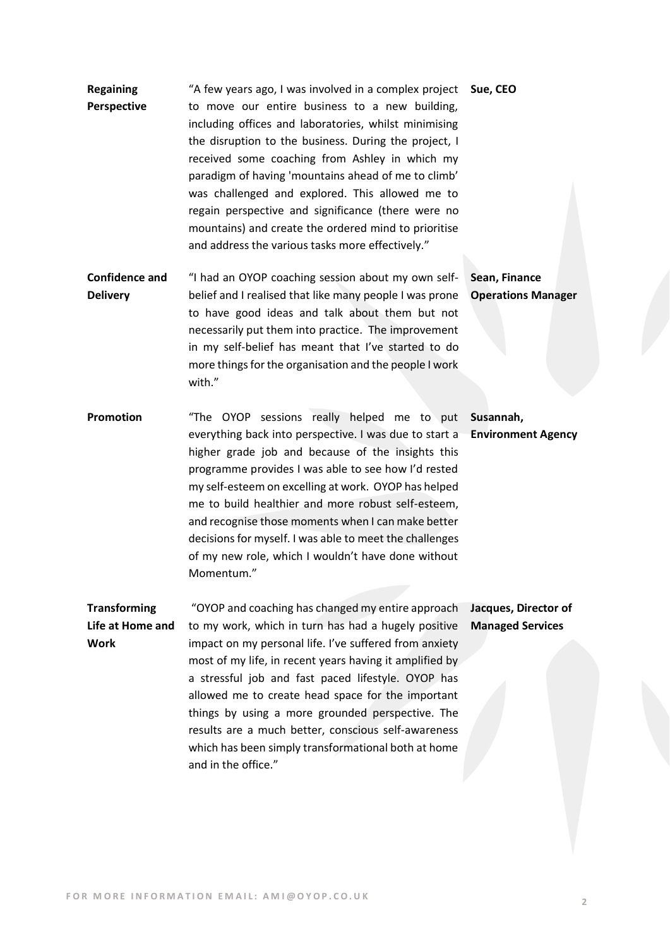- **Regaining Perspective** "A few years ago, I was involved in a complex project **Sue, CEO** to move our entire business to a new building, including offices and laboratories, whilst minimising the disruption to the business. During the project, I received some coaching from Ashley in which my paradigm of having 'mountains ahead of me to climb' was challenged and explored. This allowed me to regain perspective and significance (there were no mountains) and create the ordered mind to prioritise and address the various tasks more effectively." **Confidence and**  "I had an OYOP coaching session about my own self-**Sean, Finance**
- **Delivery**  belief and I realised that like many people I was prone to have good ideas and talk about them but not necessarily put them into practice. The improvement in my self-belief has meant that I've started to do more things for the organisation and the people I work with." **Operations Manager**
- **Promotion** "The OYOP sessions really helped me to put **Susannah,**  everything back into perspective. I was due to start a higher grade job and because of the insights this programme provides I was able to see how I'd rested my self-esteem on excelling at work. OYOP has helped me to build healthier and more robust self-esteem, and recognise those moments when I can make better decisions for myself. I was able to meet the challenges of my new role, which I wouldn't have done without Momentum." **Environment Agency**

**Transforming Life at Home and Work** "OYOP and coaching has changed my entire approach to my work, which in turn has had a hugely positive impact on my personal life. I've suffered from anxiety most of my life, in recent years having it amplified by a stressful job and fast paced lifestyle. OYOP has allowed me to create head space for the important things by using a more grounded perspective. The results are a much better, conscious self-awareness which has been simply transformational both at home and in the office." **Jacques, Director of Managed Services**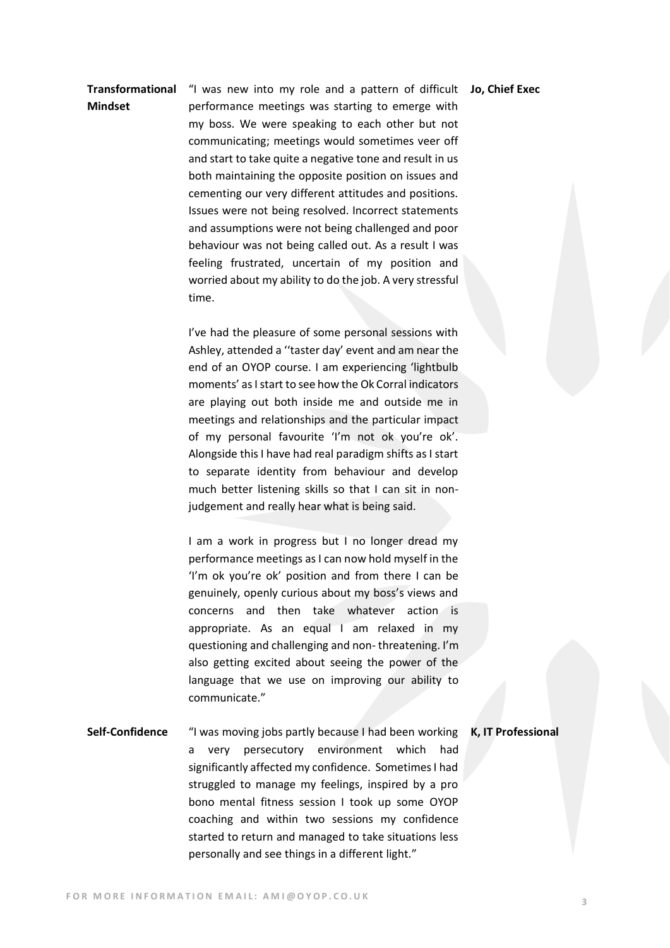### "I was new into my role and a pattern of difficult **Jo, Chief Exec**

## **Transformational Mindset**

performance meetings was starting to emerge with my boss. We were speaking to each other but not communicating; meetings would sometimes veer off and start to take quite a negative tone and result in us both maintaining the opposite position on issues and cementing our very different attitudes and positions. Issues were not being resolved. Incorrect statements and assumptions were not being challenged and poor behaviour was not being called out. As a result I was feeling frustrated, uncertain of my position and worried about my ability to do the job. A very stressful time.

I've had the pleasure of some personal sessions with Ashley, attended a ''taster day' event and am near the end of an OYOP course. I am experiencing 'lightbulb moments' as I start to see how the Ok Corral indicators are playing out both inside me and outside me in meetings and relationships and the particular impact of my personal favourite 'I'm not ok you're ok'. Alongside this I have had real paradigm shifts as I start to separate identity from behaviour and develop much better listening skills so that I can sit in nonjudgement and really hear what is being said.

I am a work in progress but I no longer dread my performance meetings as I can now hold myself in the 'I'm ok you're ok' position and from there I can be genuinely, openly curious about my boss's views and concerns and then take whatever action is appropriate. As an equal I am relaxed in my questioning and challenging and non- threatening. I'm also getting excited about seeing the power of the language that we use on improving our ability to communicate."

**Self-Confidence** "I was moving jobs partly because I had been working **K, IT Professional**a very persecutory environment which had significantly affected my confidence. Sometimes I had struggled to manage my feelings, inspired by a pro bono mental fitness session I took up some OYOP coaching and within two sessions my confidence started to return and managed to take situations less personally and see things in a different light."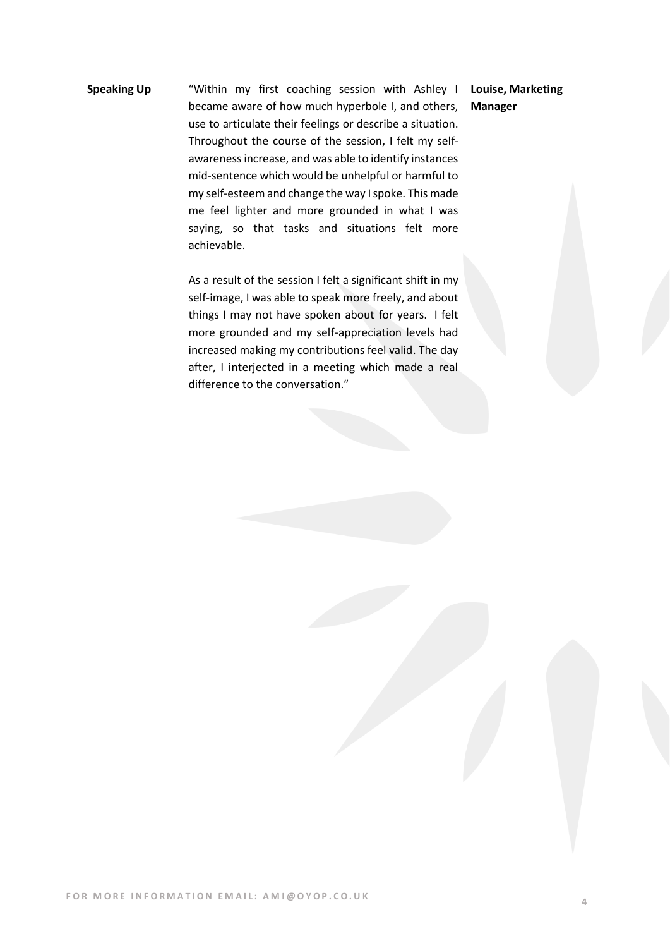# **Speaking Up** "Within my first coaching session with Ashley I became aware of how much hyperbole I, and others, use to articulate their feelings or describe a situation. Throughout the course of the session, I felt my selfawareness increase, and was able to identify instances mid-sentence which would be unhelpful or harmful to my self-esteem and change the way I spoke. This made me feel lighter and more grounded in what I was saying, so that tasks and situations felt more achievable.

As a result of the session I felt a significant shift in my self-image, I was able to speak more freely, and about things I may not have spoken about for years. I felt more grounded and my self-appreciation levels had increased making my contributions feel valid. The day after, I interjected in a meeting which made a real difference to the conversation."

**Louise, Marketing Manager**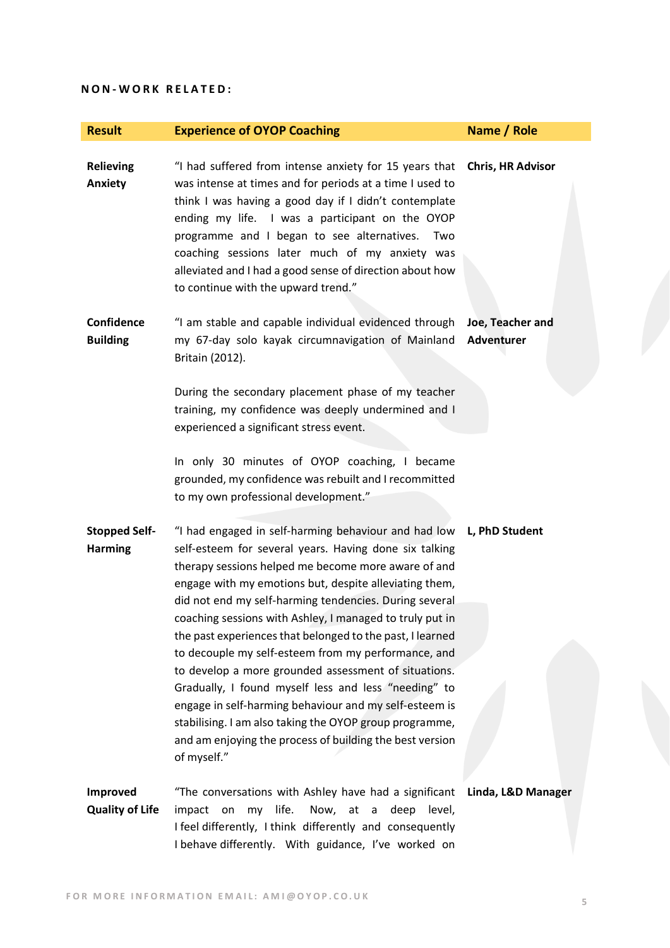### **N O N - W O R K R E L A T E D :**

| <b>Result</b>                          | <b>Experience of OYOP Coaching</b>                                                                                                                                                                                                                                                                                                                                                                                                       | Name / Role                           |
|----------------------------------------|------------------------------------------------------------------------------------------------------------------------------------------------------------------------------------------------------------------------------------------------------------------------------------------------------------------------------------------------------------------------------------------------------------------------------------------|---------------------------------------|
| <b>Relieving</b><br>Anxiety            | "I had suffered from intense anxiety for 15 years that<br>was intense at times and for periods at a time I used to<br>think I was having a good day if I didn't contemplate<br>ending my life. I was a participant on the OYOP<br>programme and I began to see alternatives.<br>Two<br>coaching sessions later much of my anxiety was<br>alleviated and I had a good sense of direction about how<br>to continue with the upward trend." | <b>Chris, HR Advisor</b>              |
| Confidence<br><b>Building</b>          | "I am stable and capable individual evidenced through<br>my 67-day solo kayak circumnavigation of Mainland<br>Britain (2012).                                                                                                                                                                                                                                                                                                            | Joe, Teacher and<br><b>Adventurer</b> |
|                                        | During the secondary placement phase of my teacher<br>training, my confidence was deeply undermined and I<br>experienced a significant stress event.                                                                                                                                                                                                                                                                                     |                                       |
|                                        | In only 30 minutes of OYOP coaching, I became<br>grounded, my confidence was rebuilt and I recommitted<br>to my own professional development."                                                                                                                                                                                                                                                                                           |                                       |
| <b>Stopped Self-</b><br><b>Harming</b> | "I had engaged in self-harming behaviour and had low<br>self-esteem for several years. Having done six talking<br>therapy sessions helped me become more aware of and<br>engage with my emotions but, despite alleviating them,<br>did not end my self-harming tendencies. During several<br>coaching sessions with Ashley, I managed to truly put in<br>the past experiences that belonged to the past, I learned                       | L, PhD Student                        |
|                                        | to decouple my self-esteem from my performance, and<br>to develop a more grounded assessment of situations.<br>Gradually, I found myself less and less "needing" to<br>engage in self-harming behaviour and my self-esteem is<br>stabilising. I am also taking the OYOP group programme,<br>and am enjoying the process of building the best version<br>of myself."                                                                      |                                       |
| Improved<br><b>Quality of Life</b>     | "The conversations with Ashley have had a significant<br>life.<br>Now, at<br>deep level,<br>impact<br>on<br>my<br>$\mathsf{a}$<br>I feel differently, I think differently and consequently<br>I behave differently. With guidance, I've worked on                                                                                                                                                                                        | Linda, L&D Manager                    |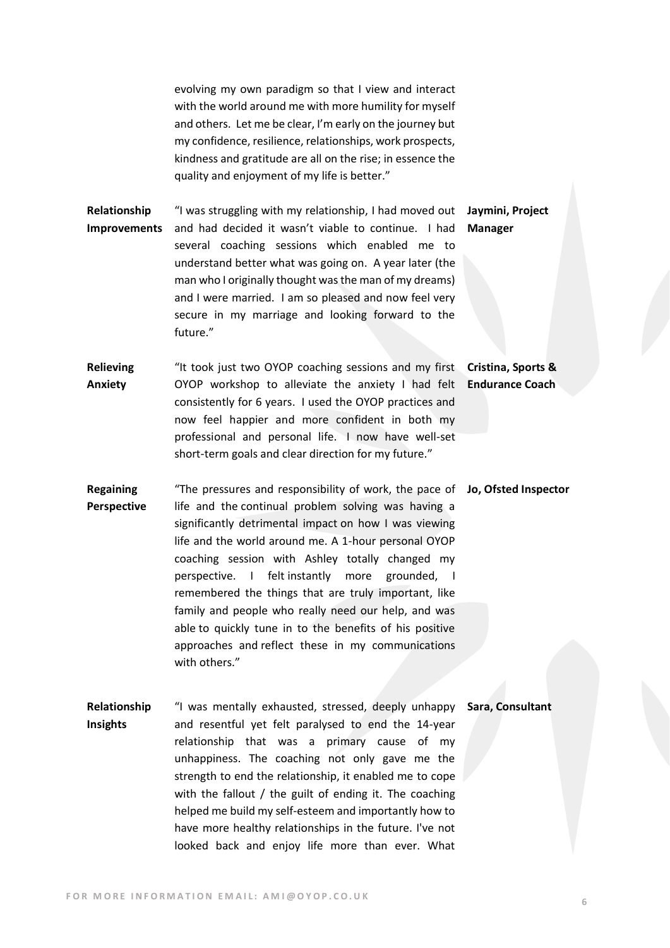evolving my own paradigm so that I view and interact with the world around me with more humility for myself and others. Let me be clear, I'm early on the journey but my confidence, resilience, relationships, work prospects, kindness and gratitude are all on the rise; in essence the quality and enjoyment of my life is better."

and I were married. I am so pleased and now feel very secure in my marriage and looking forward to the

**Relationship Improvements**

future."

"I was struggling with my relationship, I had moved out **Jaymini, Project**  and had decided it wasn't viable to continue. I had several coaching sessions which enabled me to understand better what was going on. A year later (the man who I originally thought was the man of my dreams) **Manager**

**Relieving Anxiety**  "It took just two OYOP coaching sessions and my first **Cristina, Sports &**  OYOP workshop to alleviate the anxiety I had felt consistently for 6 years. I used the OYOP practices and now feel happier and more confident in both my professional and personal life. I now have well-set short-term goals and clear direction for my future." **Endurance Coach**

**Regaining Perspective** "The pressures and responsibility of work, the pace of **Jo, Ofsted Inspector** life and the continual problem solving was having a significantly detrimental impact on how I was viewing life and the world around me. A 1-hour personal OYOP coaching session with Ashley totally changed my perspective. I felt instantly more grounded, I remembered the things that are truly important, like family and people who really need our help, and was able to quickly tune in to the benefits of his positive approaches and reflect these in my communications with others."

**Relationship Insights**  "I was mentally exhausted, stressed, deeply unhappy **Sara, Consultant**and resentful yet felt paralysed to end the 14-year relationship that was a primary cause of my unhappiness. The coaching not only gave me the strength to end the relationship, it enabled me to cope with the fallout / the guilt of ending it. The coaching helped me build my self-esteem and importantly how to have more healthy relationships in the future. I've not looked back and enjoy life more than ever. What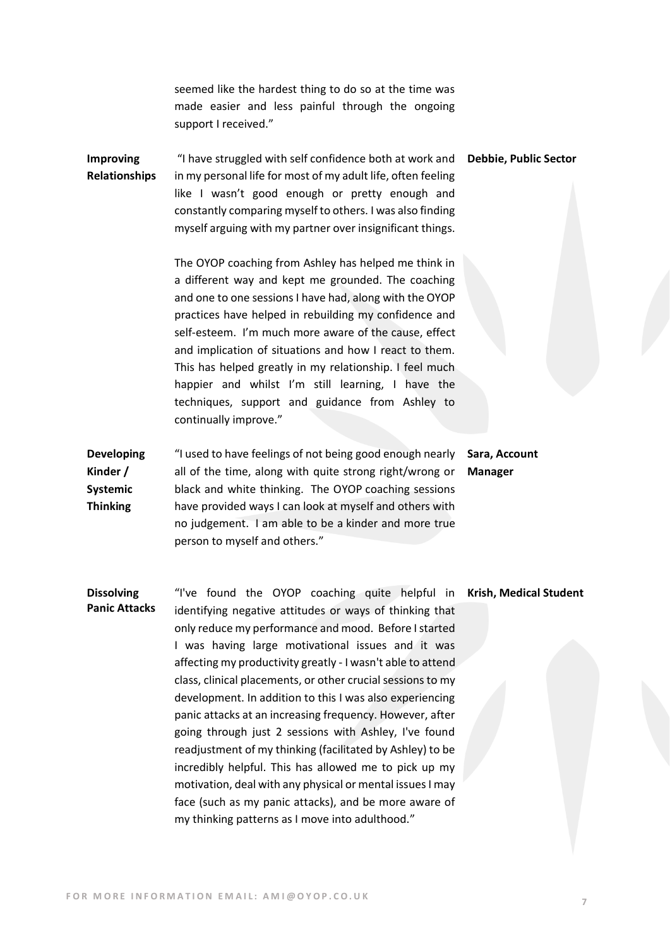seemed like the hardest thing to do so at the time was made easier and less painful through the ongoing support I received."

**Improving Relationships** "I have struggled with self confidence both at work and in my personal life for most of my adult life, often feeling like I wasn't good enough or pretty enough and constantly comparing myself to others. I was also finding myself arguing with my partner over insignificant things. **Debbie, Public Sector** 

> The OYOP coaching from Ashley has helped me think in a different way and kept me grounded. The coaching and one to one sessions I have had, along with the OYOP practices have helped in rebuilding my confidence and self-esteem. I'm much more aware of the cause, effect and implication of situations and how I react to them. This has helped greatly in my relationship. I feel much happier and whilst I'm still learning, I have the techniques, support and guidance from Ashley to continually improve."

**Developing Kinder / Systemic Thinking** "I used to have feelings of not being good enough nearly all of the time, along with quite strong right/wrong or black and white thinking. The OYOP coaching sessions have provided ways I can look at myself and others with no judgement. I am able to be a kinder and more true person to myself and others."

**Sara, Account Manager**

**Dissolving Panic Attacks** "I've found the OYOP coaching quite helpful in identifying negative attitudes or ways of thinking that only reduce my performance and mood. Before I started I was having large motivational issues and it was affecting my productivity greatly - I wasn't able to attend class, clinical placements, or other crucial sessions to my development. In addition to this I was also experiencing panic attacks at an increasing frequency. However, after going through just 2 sessions with Ashley, I've found readjustment of my thinking (facilitated by Ashley) to be incredibly helpful. This has allowed me to pick up my motivation, deal with any physical or mental issues I may face (such as my panic attacks), and be more aware of my thinking patterns as I move into adulthood."

**Krish, Medical Student**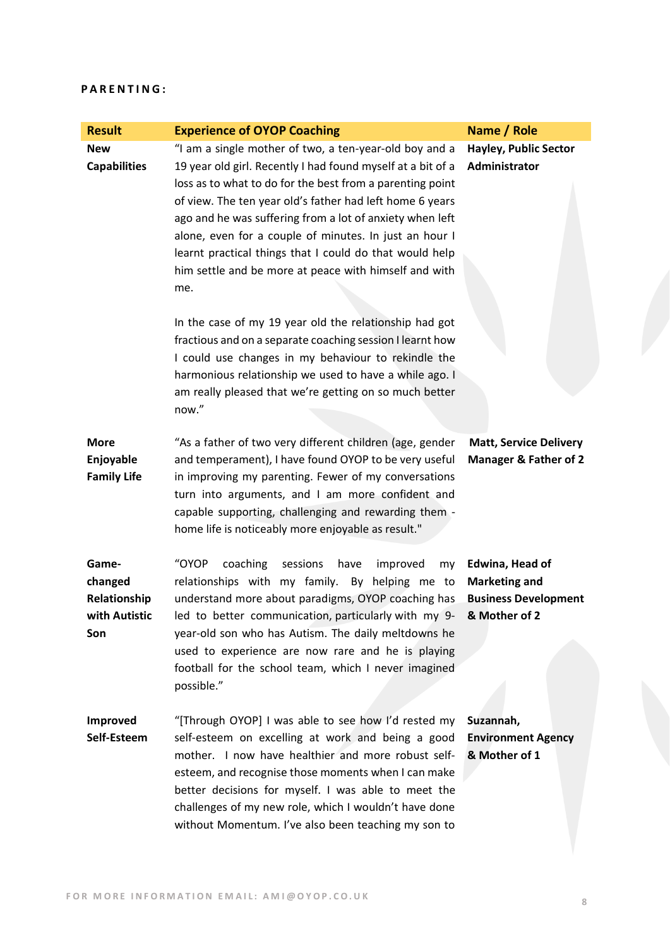### **P A R E N T I N G :**

| <b>Result</b>                                            | <b>Experience of OYOP Coaching</b>                                                                                                                                                                                                                                                                                                                                                                                                                                                              | Name / Role                                                                             |
|----------------------------------------------------------|-------------------------------------------------------------------------------------------------------------------------------------------------------------------------------------------------------------------------------------------------------------------------------------------------------------------------------------------------------------------------------------------------------------------------------------------------------------------------------------------------|-----------------------------------------------------------------------------------------|
| <b>New</b><br><b>Capabilities</b>                        | "I am a single mother of two, a ten-year-old boy and a<br>19 year old girl. Recently I had found myself at a bit of a<br>loss as to what to do for the best from a parenting point<br>of view. The ten year old's father had left home 6 years<br>ago and he was suffering from a lot of anxiety when left<br>alone, even for a couple of minutes. In just an hour I<br>learnt practical things that I could do that would help<br>him settle and be more at peace with himself and with<br>me. | <b>Hayley, Public Sector</b><br>Administrator                                           |
|                                                          | In the case of my 19 year old the relationship had got<br>fractious and on a separate coaching session I learnt how<br>I could use changes in my behaviour to rekindle the<br>harmonious relationship we used to have a while ago. I<br>am really pleased that we're getting on so much better<br>now."                                                                                                                                                                                         |                                                                                         |
| <b>More</b><br>Enjoyable<br><b>Family Life</b>           | "As a father of two very different children (age, gender<br>and temperament), I have found OYOP to be very useful<br>in improving my parenting. Fewer of my conversations<br>turn into arguments, and I am more confident and<br>capable supporting, challenging and rewarding them -<br>home life is noticeably more enjoyable as result."                                                                                                                                                     | <b>Matt, Service Delivery</b><br><b>Manager &amp; Father of 2</b>                       |
| Game-<br>changed<br>Relationship<br>with Autistic<br>Son | "OYOP<br>coaching<br>sessions<br>improved<br>have<br>my<br>relationships with my family. By helping me to<br>understand more about paradigms, OYOP coaching has<br>led to better communication, particularly with my 9-<br>year-old son who has Autism. The daily meltdowns he<br>used to experience are now rare and he is playing<br>football for the school team, which I never imagined<br>possible."                                                                                       | Edwina, Head of<br><b>Marketing and</b><br><b>Business Development</b><br>& Mother of 2 |
| <b>Improved</b><br>Self-Esteem                           | "[Through OYOP] I was able to see how I'd rested my<br>self-esteem on excelling at work and being a good<br>mother. I now have healthier and more robust self-<br>esteem, and recognise those moments when I can make<br>better decisions for myself. I was able to meet the<br>challenges of my new role, which I wouldn't have done<br>without Momentum. I've also been teaching my son to                                                                                                    | Suzannah,<br><b>Environment Agency</b><br>& Mother of 1                                 |